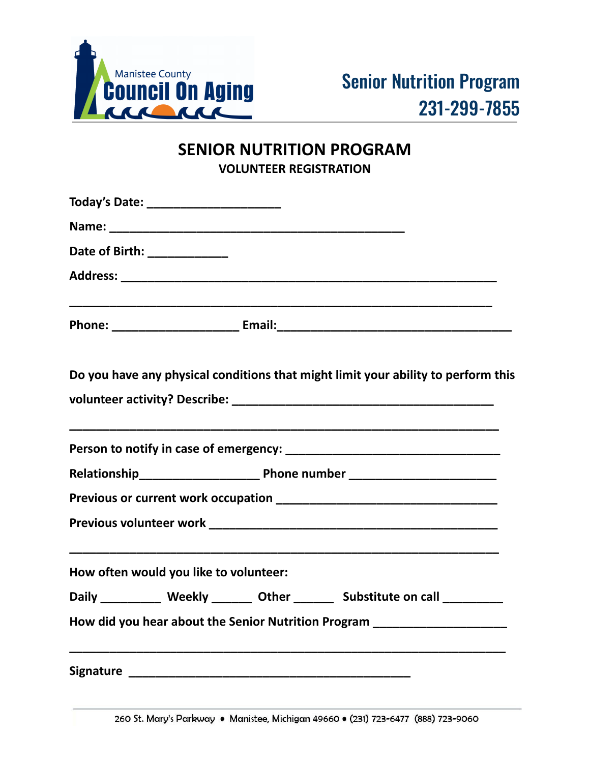

## **SENIOR NUTRITION PROGRAM VOLUNTEER REGISTRATION**

| Today's Date: _____________________<br>Date of Birth: ______________              |  |  |  |
|-----------------------------------------------------------------------------------|--|--|--|
|                                                                                   |  |  |  |
|                                                                                   |  |  |  |
| Do you have any physical conditions that might limit your ability to perform this |  |  |  |
|                                                                                   |  |  |  |
|                                                                                   |  |  |  |
|                                                                                   |  |  |  |
|                                                                                   |  |  |  |
|                                                                                   |  |  |  |
| How often would you like to volunteer:                                            |  |  |  |
| Daily _________ Weekly ______ Other ______ Substitute on call _________           |  |  |  |
| How did you hear about the Senior Nutrition Program _____________________         |  |  |  |
|                                                                                   |  |  |  |